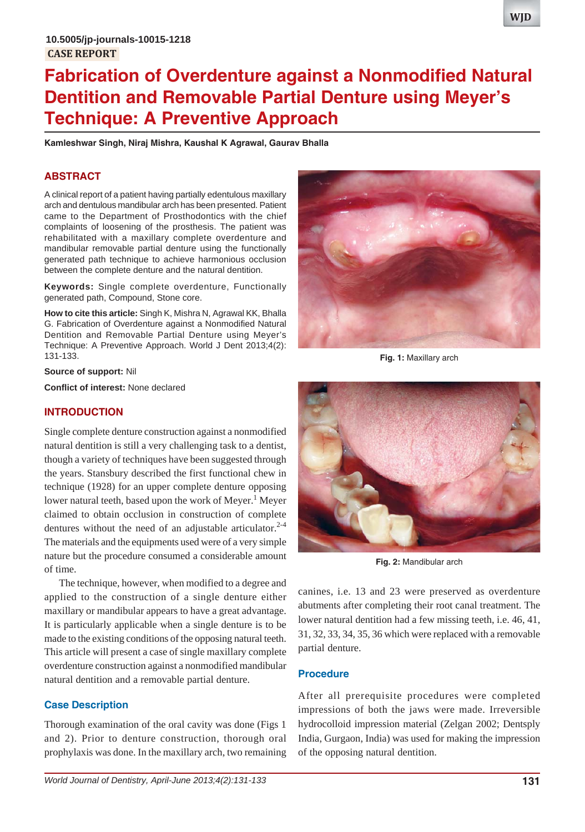# **Fabrication of Overdenture against a Nonmodified Natural Dentition and Removable Partial Denture using Meyer's Technique: A Preventive Approach**

**Kamleshwar Singh, Niraj Mishra, Kaushal K Agrawal, Gaurav Bhalla**

# **ABSTRACT**

A clinical report of a patient having partially edentulous maxillary arch and dentulous mandibular arch has been presented. Patient came to the Department of Prosthodontics with the chief complaints of loosening of the prosthesis. The patient was rehabilitated with a maxillary complete overdenture and mandibular removable partial denture using the functionally generated path technique to achieve harmonious occlusion between the complete denture and the natural dentition.

**Keywords:** Single complete overdenture, Functionally generated path, Compound, Stone core.

**How to cite this article:** Singh K, Mishra N, Agrawal KK, Bhalla G. Fabrication of Overdenture against a Nonmodified Natural Dentition and Removable Partial Denture using Meyer's Technique: A Preventive Approach. World J Dent 2013;4(2): 131-133.

**Source of support:** Nil

**Conflict of interest:** None declared

## **INTRODUCTION**

Single complete denture construction against a nonmodified natural dentition is still a very challenging task to a dentist, though a variety of techniques have been suggested through the years. Stansbury described the first functional chew in technique (1928) for an upper complete denture opposing lower natural teeth, based upon the work of Meyer.<sup>1</sup> Meyer claimed to obtain occlusion in construction of complete dentures without the need of an adjustable articulator.<sup>2-4</sup> The materials and the equipments used were of a very simple nature but the procedure consumed a considerable amount of time.

The technique, however, when modified to a degree and applied to the construction of a single denture either maxillary or mandibular appears to have a great advantage. It is particularly applicable when a single denture is to be made to the existing conditions of the opposing natural teeth. This article will present a case of single maxillary complete overdenture construction against a nonmodified mandibular natural dentition and a removable partial denture.

# **Case Description**

Thorough examination of the oral cavity was done (Figs 1 and 2). Prior to denture construction, thorough oral prophylaxis was done. In the maxillary arch, two remaining



**Fig. 1:** Maxillary arch



**Fig. 2:** Mandibular arch

canines, i.e. 13 and 23 were preserved as overdenture abutments after completing their root canal treatment. The lower natural dentition had a few missing teeth, i.e. 46, 41, 31, 32, 33, 34, 35, 36 which were replaced with a removable partial denture.

## **Procedure**

After all prerequisite procedures were completed impressions of both the jaws were made. Irreversible hydrocolloid impression material (Zelgan 2002; Dentsply India, Gurgaon, India) was used for making the impression of the opposing natural dentition.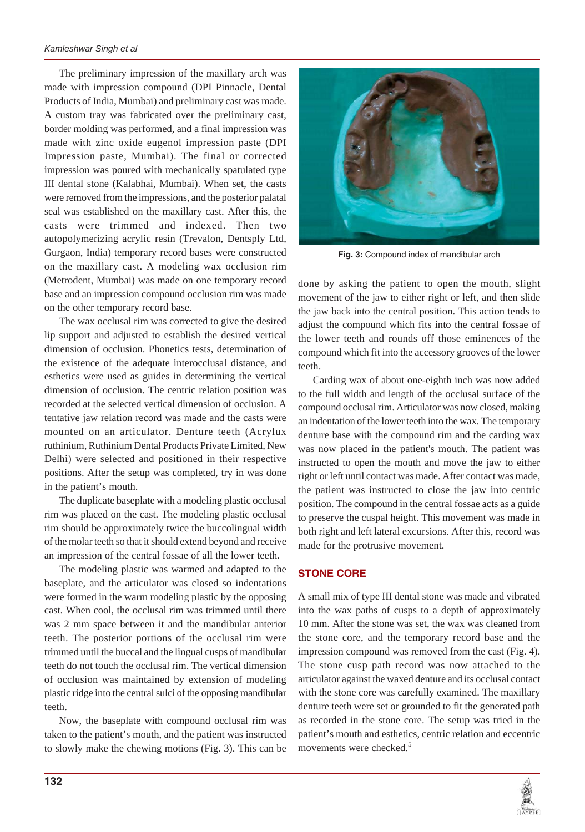The preliminary impression of the maxillary arch was made with impression compound (DPI Pinnacle, Dental Products of India, Mumbai) and preliminary cast was made. A custom tray was fabricated over the preliminary cast, border molding was performed, and a final impression was made with zinc oxide eugenol impression paste (DPI Impression paste, Mumbai). The final or corrected impression was poured with mechanically spatulated type III dental stone (Kalabhai, Mumbai). When set, the casts were removed from the impressions, and the posterior palatal seal was established on the maxillary cast. After this, the casts were trimmed and indexed. Then two autopolymerizing acrylic resin (Trevalon, Dentsply Ltd, Gurgaon, India) temporary record bases were constructed on the maxillary cast. A modeling wax occlusion rim (Metrodent, Mumbai) was made on one temporary record base and an impression compound occlusion rim was made on the other temporary record base.

The wax occlusal rim was corrected to give the desired lip support and adjusted to establish the desired vertical dimension of occlusion. Phonetics tests, determination of the existence of the adequate interocclusal distance, and esthetics were used as guides in determining the vertical dimension of occlusion. The centric relation position was recorded at the selected vertical dimension of occlusion. A tentative jaw relation record was made and the casts were mounted on an articulator. Denture teeth (Acrylux ruthinium, Ruthinium Dental Products Private Limited, New Delhi) were selected and positioned in their respective positions. After the setup was completed, try in was done in the patient's mouth.

The duplicate baseplate with a modeling plastic occlusal rim was placed on the cast. The modeling plastic occlusal rim should be approximately twice the buccolingual width of the molar teeth so that it should extend beyond and receive an impression of the central fossae of all the lower teeth.

The modeling plastic was warmed and adapted to the baseplate, and the articulator was closed so indentations were formed in the warm modeling plastic by the opposing cast. When cool, the occlusal rim was trimmed until there was 2 mm space between it and the mandibular anterior teeth. The posterior portions of the occlusal rim were trimmed until the buccal and the lingual cusps of mandibular teeth do not touch the occlusal rim. The vertical dimension of occlusion was maintained by extension of modeling plastic ridge into the central sulci of the opposing mandibular teeth.

Now, the baseplate with compound occlusal rim was taken to the patient's mouth, and the patient was instructed to slowly make the chewing motions (Fig. 3). This can be



**Fig. 3:** Compound index of mandibular arch

done by asking the patient to open the mouth, slight movement of the jaw to either right or left, and then slide the jaw back into the central position. This action tends to adjust the compound which fits into the central fossae of the lower teeth and rounds off those eminences of the compound which fit into the accessory grooves of the lower teeth.

Carding wax of about one-eighth inch was now added to the full width and length of the occlusal surface of the compound occlusal rim. Articulator was now closed, making an indentation of the lower teeth into the wax. The temporary denture base with the compound rim and the carding wax was now placed in the patient's mouth. The patient was instructed to open the mouth and move the jaw to either right or left until contact was made. After contact was made, the patient was instructed to close the jaw into centric position. The compound in the central fossae acts as a guide to preserve the cuspal height. This movement was made in both right and left lateral excursions. After this, record was made for the protrusive movement.

## **STONE CORE**

A small mix of type III dental stone was made and vibrated into the wax paths of cusps to a depth of approximately 10 mm. After the stone was set, the wax was cleaned from the stone core, and the temporary record base and the impression compound was removed from the cast (Fig. 4). The stone cusp path record was now attached to the articulator against the waxed denture and its occlusal contact with the stone core was carefully examined. The maxillary denture teeth were set or grounded to fit the generated path as recorded in the stone core. The setup was tried in the patient's mouth and esthetics, centric relation and eccentric movements were checked.5